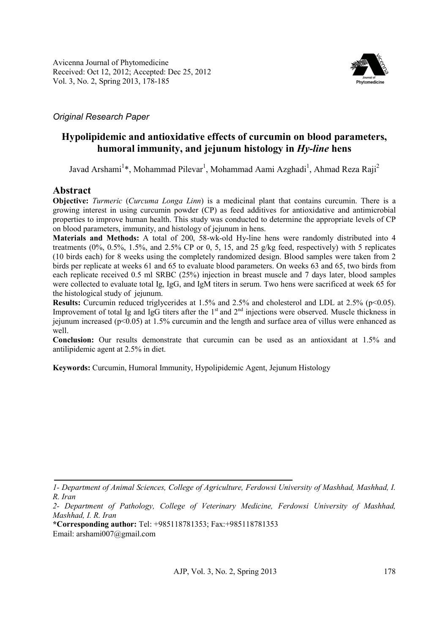

## *Original Research Paper*

# **Hypolipidemic and antioxidative effects of curcumin on blood parameters, humoral immunity, and jejunum histology in** *Hy-line* **hens**

Javad Arshami<sup>1</sup>\*, Mohammad Pilevar<sup>1</sup>, Mohammad Aami Azghadi<sup>1</sup>, Ahmad Reza Raji<sup>2</sup>

## **Abstract**

**Objective:** *Turmeric* (*Curcuma Longa Linn*) is a medicinal plant that contains curcumin. There is a growing interest in using curcumin powder (CP) as feed additives for antioxidative and antimicrobial properties to improve human health. This study was conducted to determine the appropriate levels of CP on blood parameters, immunity, and histology of jejunum in hens.

**Materials and Methods:** A total of 200, 58-wk-old Hy-line hens were randomly distributed into 4 treatments (0%, 0.5%, 1.5%, and 2.5% CP or 0, 5, 15, and 25 g/kg feed, respectively) with 5 replicates (10 birds each) for 8 weeks using the completely randomized design. Blood samples were taken from 2 birds per replicate at weeks 61 and 65 to evaluate blood parameters. On weeks 63 and 65, two birds from each replicate received 0.5 ml SRBC (25%) injection in breast muscle and 7 days later, blood samples were collected to evaluate total Ig, IgG, and IgM titers in serum. Two hens were sacrificed at week 65 for the histological study of jejunum.

**Results:** Curcumin reduced triglycerides at 1.5% and 2.5% and cholesterol and LDL at 2.5% (p<0.05). Improvement of total Ig and IgG titers after the  $1<sup>st</sup>$  and  $2<sup>nd</sup>$  injections were observed. Muscle thickness in jejunum increased (p<0.05) at 1.5% curcumin and the length and surface area of villus were enhanced as well.

**Conclusion:** Our results demonstrate that curcumin can be used as an antioxidant at 1.5% and antilipidemic agent at 2.5% in diet.

**Keywords:** Curcumin, Humoral Immunity, Hypolipidemic Agent, Jejunum Histology

*<sup>1-</sup> Department of Animal Sciences, College of Agriculture, Ferdowsi University of Mashhad, Mashhad, I. R. Iran* 

*<sup>2-</sup> Department of Pathology, College of Veterinary Medicine, Ferdowsi University of Mashhad, Mashhad, I. R. Iran* 

**<sup>\*</sup>Corresponding author:** Tel: +985118781353; Fax:+985118781353 Email: arshami007@gmail.com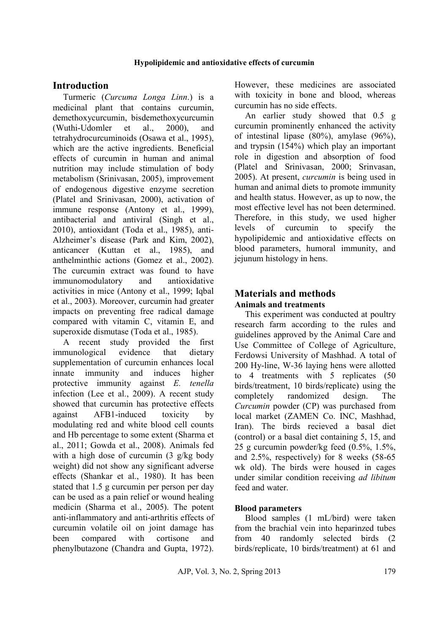### **Hypolipidemic and antioxidative effects of curcumin**

## **Introduction**

Turmeric (*Curcuma Longa Linn*.) is a medicinal plant that contains curcumin, demethoxycurcumin, bisdemethoxycurcumin (Wuthi-Udomler et al., 2000), and tetrahydrocurcuminoids (Osawa et al., 1995), which are the active ingredients. Beneficial effects of curcumin in human and animal nutrition may include stimulation of body metabolism (Srinivasan, 2005), improvement of endogenous digestive enzyme secretion (Platel and Srinivasan, 2000), activation of immune response (Antony et al., 1999), antibacterial and antiviral (Singh et al., 2010), antioxidant (Toda et al., 1985), anti-Alzheimer's disease (Park and Kim, 2002), anticancer (Kuttan et al., 1985), and anthelminthic actions (Gomez et al., 2002). The curcumin extract was found to have immunomodulatory and antioxidative activities in mice (Antony et al., 1999; Iqbal et al., 2003). Moreover, curcumin had greater impacts on preventing free radical damage compared with vitamin C, vitamin E, and superoxide dismutase (Toda et al., 1985).

A recent study provided the first immunological evidence that dietary supplementation of curcumin enhances local innate immunity and induces higher protective immunity against *E. tenella*  infection (Lee et al., 2009). A recent study showed that curcumin has protective effects against AFB1-induced toxicity by modulating red and white blood cell counts and Hb percentage to some extent (Sharma et al., 2011; Gowda et al., 2008). Animals fed with a high dose of curcumin (3 g/kg body weight) did not show any significant adverse effects (Shankar et al., 1980). It has been stated that 1.5 g curcumin per person per day can be used as a pain relief or wound healing medicin (Sharma et al., 2005). The potent anti-inflammatory and anti-arthritis effects of curcumin volatile oil on joint damage has been compared with cortisone and phenylbutazone (Chandra and Gupta, 1972).

However, these medicines are associated with toxicity in bone and blood, whereas curcumin has no side effects.

An earlier study showed that 0.5 g curcumin prominently enhanced the activity of intestinal lipase (80%), amylase (96%), and trypsin (154%) which play an important role in digestion and absorption of food (Platel and Srinivasan, 2000; Srinvasan, 2005). At present, *curcumin* is being used in human and animal diets to promote immunity and health status. However, as up to now, the most effective level has not been determined. Therefore, in this study, we used higher levels of curcumin to specify the hypolipidemic and antioxidative effects on blood parameters, humoral immunity, and jejunum histology in hens.

## **Materials and methods Animals and treatments**

This experiment was conducted at poultry research farm according to the rules and guidelines approved by the Animal Care and Use Committee of College of Agriculture, Ferdowsi University of Mashhad. A total of 200 Hy-line, W-36 laying hens were allotted to 4 treatments with 5 replicates (50 birds/treatment, 10 birds/replicate) using the completely randomized design. The *Curcumin* powder (CP) was purchased from local market (ZAMEN Co. INC, Mashhad, Iran). The birds recieved a basal diet (control) or a basal diet containing 5, 15, and 25 g curcumin powder/kg feed (0.5%, 1.5%, and 2.5%, respectively) for 8 weeks (58-65 wk old). The birds were housed in cages under similar condition receiving *ad libitum* feed and water.

### **Blood parameters**

Blood samples (1 mL/bird) were taken from the brachial vein into heparinzed tubes from 40 randomly selected birds (2 birds/replicate, 10 birds/treatment) at 61 and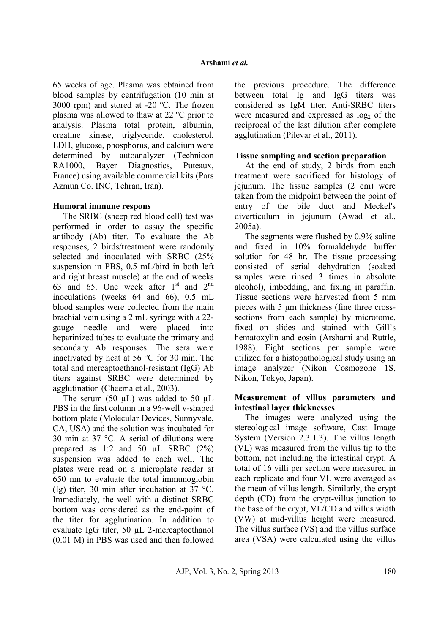65 weeks of age. Plasma was obtained from blood samples by centrifugation (10 min at 3000 rpm) and stored at -20 ºC. The frozen plasma was allowed to thaw at 22 ºC prior to analysis. Plasma total protein, albumin, creatine kinase, triglyceride, cholesterol, LDH, glucose, phosphorus, and calcium were determined by autoanalyzer (Technicon RA1000, Bayer Diagnostics, Puteaux, France) using available commercial kits (Pars Azmun Co. INC, Tehran, Iran).

## **Humoral immune respons**

The SRBC (sheep red blood cell) test was performed in order to assay the specific antibody (Ab) titer. To evaluate the Ab responses, 2 birds/treatment were randomly selected and inoculated with SRBC (25% suspension in PBS, 0.5 mL/bird in both left and right breast muscle) at the end of weeks 63 and 65. One week after  $1<sup>st</sup>$  and  $2<sup>nd</sup>$ inoculations (weeks 64 and 66), 0.5 mL blood samples were collected from the main brachial vein using a 2 mL syringe with a 22 gauge needle and were placed into heparinized tubes to evaluate the primary and secondary Ab responses. The sera were inactivated by heat at 56 °C for 30 min. The total and mercaptoethanol-resistant (IgG) Ab titers against SRBC were determined by agglutination (Cheema et al., 2003).

The serum (50  $\mu$ L) was added to 50  $\mu$ L PBS in the first column in a 96-well v-shaped bottom plate (Molecular Devices, Sunnyvale, CA, USA) and the solution was incubated for 30 min at 37 °C. A serial of dilutions were prepared as 1:2 and 50  $\mu$ L SRBC (2%) suspension was added to each well. The plates were read on a microplate reader at 650 nm to evaluate the total immunoglobin (Ig) titer, 30 min after incubation at 37 °C. Immediately, the well with a distinct SRBC bottom was considered as the end-point of the titer for agglutination. In addition to evaluate IgG titer, 50 µL 2-mercaptoethanol (0.01 M) in PBS was used and then followed the previous procedure. The difference between total Ig and IgG titers was considered as IgM titer. Anti-SRBC titers were measured and expressed as  $log<sub>2</sub>$  of the reciprocal of the last dilution after complete agglutination (Pilevar et al., 2011).

## **Tissue sampling and section preparation**

At the end of study, 2 birds from each treatment were sacrificed for histology of jejunum. The tissue samples (2 cm) were taken from the midpoint between the point of entry of the bile duct and Meckel's diverticulum in jejunum (Awad et al., 2005a).

The segments were flushed by 0.9% saline and fixed in 10% formaldehyde buffer solution for 48 hr. The tissue processing consisted of serial dehydration (soaked samples were rinsed 3 times in absolute alcohol), imbedding, and fixing in paraffin. Tissue sections were harvested from 5 mm pieces with 5 µm thickness (fine three crosssections from each sample) by microtome, fixed on slides and stained with Gill's hematoxylin and eosin (Arshami and Ruttle, 1988). Eight sections per sample were utilized for a histopathological study using an image analyzer (Nikon Cosmozone 1S, Nikon, Tokyo, Japan).

### **Measurement of villus parameters and intestinal layer thicknesses**

The images were analyzed using the stereological image software, Cast Image System (Version 2.3.1.3). The villus length (VL) was measured from the villus tip to the bottom, not including the intestinal crypt. A total of 16 villi per section were measured in each replicate and four VL were averaged as the mean of villus length. Similarly, the crypt depth (CD) from the crypt-villus junction to the base of the crypt, VL/CD and villus width (VW) at mid-villus height were measured. The villus surface (VS) and the villus surface area (VSA) were calculated using the villus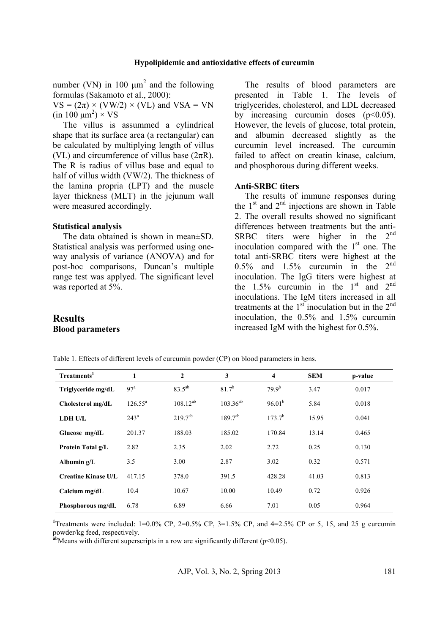number (VN) in 100  $\mu$ m<sup>2</sup> and the following formulas (Sakamoto et al., 2000):

 $VS = (2\pi) \times (VW/2) \times (VL)$  and  $VSA = VN$  $(in 100 \mu m^2) \times VS$ 

The villus is assummed a cylindrical shape that its surface area (a rectangular) can be calculated by multiplying length of villus (VL) and circumference of villus base  $(2\pi R)$ . The R is radius of villus base and equal to half of villus width (VW/2). The thickness of the lamina propria (LPT) and the muscle layer thickness (MLT) in the jejunum wall were measured accordingly.

#### **Statistical analysis**

The data obtained is shown in mean±SD. Statistical analysis was performed using oneway analysis of variance (ANOVA) and for post-hoc comparisons, Duncan's multiple range test was applyed. The significant level was reported at 5%.

The results of blood parameters are presented in Table 1. The levels of triglycerides, cholesterol, and LDL decreased by increasing curcumin doses  $(p<0.05)$ . However, the levels of glucose, total protein, and albumin decreased slightly as the curcumin level increased. The curcumin failed to affect on creatin kinase, calcium, and phosphorous during different weeks.

### **Anti-SRBC titers**

The results of immune responses during the  $1<sup>st</sup>$  and  $2<sup>nd</sup>$  injections are shown in Table 2. The overall results showed no significant differences between treatments but the anti-SRBC titers were higher in the 2<sup>nd</sup> inoculation compared with the  $1<sup>st</sup>$  one. The total anti-SRBC titers were highest at the  $0.5\%$  and  $1.5\%$  curcumin in the  $2<sup>nd</sup>$ inoculation. The IgG titers were highest at the  $1.5\%$  curcumin in the  $1<sup>st</sup>$  and  $2<sup>nd</sup>$ inoculations. The IgM titers increased in all treatments at the  $1<sup>st</sup>$  inoculation but in the  $2<sup>nd</sup>$ inoculation, the 0.5% and 1.5% curcumin increased IgM with the highest for 0.5%.

| <b>Results</b>          |
|-------------------------|
| <b>Blood parameters</b> |

| Treatments <sup>1</sup>    | 1                | $\overline{2}$ | 3             | $\overline{\mathbf{4}}$ | <b>SEM</b> | p-value |
|----------------------------|------------------|----------------|---------------|-------------------------|------------|---------|
| Triglyceride mg/dL         | $97^{\circ}$     | $83.5^{ab}$    | $81.7^{b}$    | $79.9^{b}$              | 3.47       | 0.017   |
| Cholesterol mg/dL          | $126.55^{\rm a}$ | $108.12^{ab}$  | $103.36^{ab}$ | 96.01 <sup>b</sup>      | 5.84       | 0.018   |
| <b>LDH U/L</b>             | $243^{\rm a}$    | $219.7^{ab}$   | $189.7^{ab}$  | $173.7^{b}$             | 15.95      | 0.041   |
| Glucose mg/dL              | 201.37           | 188.03         | 185.02        | 170.84                  | 13.14      | 0.465   |
| <b>Protein Total g/L</b>   | 2.82             | 2.35           | 2.02          | 2.72                    | 0.25       | 0.130   |
| Albumin g/L                | 3.5              | 3.00           | 2.87          | 3.02                    | 0.32       | 0.571   |
| <b>Creatine Kinase U/L</b> | 417.15           | 378.0          | 391.5         | 428.28                  | 41.03      | 0.813   |
| Calcium mg/dL              | 10.4             | 10.67          | 10.00         | 10.49                   | 0.72       | 0.926   |
| Phosphorous mg/dL          | 6.78             | 6.89           | 6.66          | 7.01                    | 0.05       | 0.964   |

Table 1. Effects of different levels of curcumin powder (CP) on blood parameters in hens.

<sup>1</sup>Treatments were included:  $1=0.0\%$  CP,  $2=0.5\%$  CP,  $3=1.5\%$  CP, and  $4=2.5\%$  CP or 5, 15, and 25 g curcumin powder/kg feed, respectively.

**ab**Means with different superscripts in a row are significantly different (p<0.05).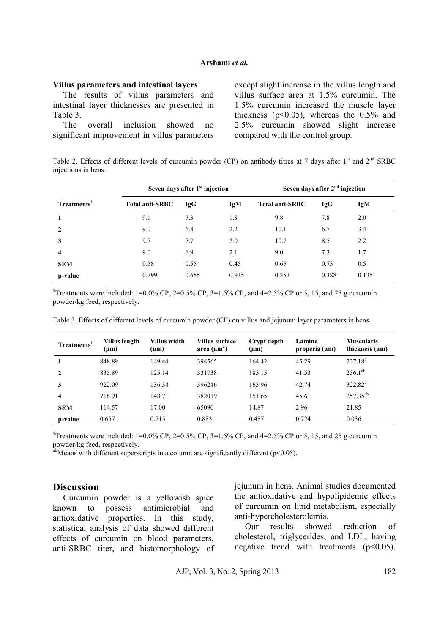### **Arshami** *et al.*

#### **Villus parameters and intestinal layers**

The results of villus parameters and intestinal layer thicknesses are presented in Table 3.

The overall inclusion showed no significant improvement in villus parameters except slight increase in the villus length and villus surface area at 1.5% curcumin. The 1.5% curcumin increased the muscle layer thickness ( $p<0.05$ ), whereas the 0.5% and 2.5% curcumin showed slight increase compared with the control group.

Table 2. Effects of different levels of curcumin powder (CP) on antibody titres at 7 days after 1<sup>st</sup> and 2<sup>nd</sup> SRBC injections in hens.

|                         | Seven days after 1 <sup>st</sup> injection |            |       | Seven days after 2 <sup>nd</sup> injection |       |       |  |
|-------------------------|--------------------------------------------|------------|-------|--------------------------------------------|-------|-------|--|
| Treatments <sup>1</sup> | <b>Total anti-SRBC</b>                     | <b>IgG</b> | IgM   | <b>Total anti-SRBC</b>                     | IgG   | IgM   |  |
|                         | 9.1                                        | 7.3        | 1.8   | 9.8                                        | 7.8   | 2.0   |  |
| 2                       | 9.0                                        | 6.8        | 2.2   | 10.1                                       | 6.7   | 3.4   |  |
| 3                       | 9.7                                        | 7.7        | 2.0   | 10.7                                       | 8.5   | 2.2   |  |
| 4                       | 9.0                                        | 6.9        | 2.1   | 9.0                                        | 7.3   | 1.7   |  |
| <b>SEM</b>              | 0.58                                       | 0.55       | 0.45  | 0.65                                       | 0.73  | 0.5   |  |
| p-value                 | 0.799                                      | 0.655      | 0.935 | 0.353                                      | 0.388 | 0.135 |  |

<sup>1</sup>Treatments were included:  $1=0.0\%$  CP,  $2=0.5\%$  CP,  $3=1.5\%$  CP, and  $4=2.5\%$  CP or 5, 15, and 25 g curcumin powder/kg feed, respectively.

Table 3. Effects of different levels of curcumin powder (CP) on villus and jejunum layer parameters in hens**.** 

| Treatments <sup>1</sup> | Villus length<br>$(\mu m)$ | Villus width<br>$(\mu m)$ | Villus surface<br>area $(\mu m^2)$ | Crypt depth<br>$(\mu m)$ | Lamina<br>properia $(\mu m)$ | <b>Muscularis</b><br>thickness $(\mu m)$ |
|-------------------------|----------------------------|---------------------------|------------------------------------|--------------------------|------------------------------|------------------------------------------|
|                         | 848.89                     | 149.44                    | 394565                             | 164.42                   | 45.29                        | $227.18^{b}$                             |
| $\mathbf{2}$            | 835.89                     | 125.14                    | 331738                             | 185.15                   | 41.53                        | $236.1^{ab}$                             |
| 3                       | 922.09                     | 136.34                    | 396246                             | 165.96                   | 42.74                        | $322.82^a$                               |
| 4                       | 716.91                     | 148.71                    | 382019                             | 151.65                   | 45.61                        | $257.35^{ab}$                            |
| <b>SEM</b>              | 114.57                     | 17.00                     | 65090                              | 14.87                    | 2.96                         | 21.85                                    |
| p-value                 | 0.657                      | 0.715                     | 0.883                              | 0.487                    | 0.724                        | 0.036                                    |

**<sup>1</sup>**Treatments were included: 1=0.0% CP, 2=0.5% CP, 3=1.5% CP, and 4=2.5% CP or 5, 15, and 25 g curcumin powder/kg feed, respectively.

 $a^{ab}$ Means with different superscripts in a column are significantly different (p<0.05).

#### **Discussion**

Curcumin powder is a yellowish spice known to possess antimicrobial and antioxidative properties. In this study, statistical analysis of data showed different effects of curcumin on blood parameters, anti-SRBC titer, and histomorphology of jejunum in hens. Animal studies documented the antioxidative and hypolipidemic effects of curcumin on lipid metabolism, especially anti-hypercholesterolemia.

Our results showed reduction of cholesterol, triglycerides, and LDL, having negative trend with treatments  $(p<0.05)$ .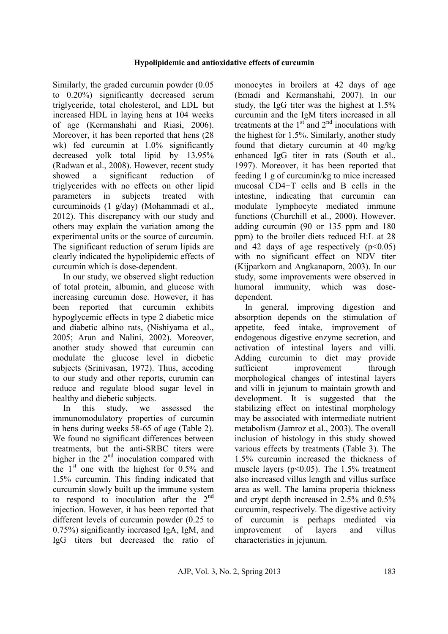Similarly, the graded curcumin powder (0.05 to 0.20%) significantly decreased serum triglyceride, total cholesterol, and LDL but increased HDL in laying hens at 104 weeks of age (Kermanshahi and Riasi, 2006). Moreover, it has been reported that hens (28 wk) fed curcumin at 1.0% significantly decreased yolk total lipid by 13.95% (Radwan et al., 2008). However, recent study showed a significant reduction of triglycerides with no effects on other lipid parameters in subjects treated with curcuminoids (1 g/day) (Mohammadi et al., 2012). This discrepancy with our study and others may explain the variation among the experimental units or the source of curcumin. The significant reduction of serum lipids are clearly indicated the hypolipidemic effects of curcumin which is dose-dependent.

In our study, we observed slight reduction of total protein, albumin, and glucose with increasing curcumin dose. However, it has been reported that curcumin exhibits hypoglycemic effects in type 2 diabetic mice and diabetic albino rats, (Nishiyama et al., 2005; Arun and Nalini, 2002). Moreover, another study showed that curcumin can modulate the glucose level in diebetic subjects (Srinivasan, 1972). Thus, accoding to our study and other reports, curumin can reduce and regulate blood sugar level in healthy and diebetic subjects.

In this study, we assessed the immunomodulatory properties of curcumin in hens during weeks 58-65 of age (Table 2). We found no significant differences between treatments, but the anti-SRBC titers were higher in the  $2<sup>nd</sup>$  inoculation compared with the  $1<sup>st</sup>$  one with the highest for 0.5% and 1.5% curcumin. This finding indicated that curcumin slowly built up the immune system to respond to inoculation after the  $2<sup>nd</sup>$ injection. However, it has been reported that different levels of curcumin powder (0.25 to 0.75%) significantly increased IgA, IgM, and IgG titers but decreased the ratio of monocytes in broilers at 42 days of age (Emadi and Kermanshahi, 2007). In our study, the IgG titer was the highest at 1.5% curcumin and the IgM titers increased in all treatments at the  $1<sup>st</sup>$  and  $2<sup>nd</sup>$  inoculations with the highest for 1.5%. Similarly, another study found that dietary curcumin at 40 mg/kg enhanced IgG titer in rats (South et al., 1997). Moreover, it has been reported that feeding 1 g of curcumin/kg to mice increased mucosal CD4+T cells and B cells in the intestine, indicating that curcumin can modulate lymphocyte mediated immune functions (Churchill et al., 2000). However, adding curcumin (90 or 135 ppm and 180 ppm) to the broiler diets reduced H:L at 28 and 42 days of age respectively  $(p<0.05)$ with no significant effect on NDV titer (Kijparkorn and Angkanaporn, 2003). In our study, some improvements were observed in humoral immunity, which was dosedependent.

In general, improving digestion and absorption depends on the stimulation of appetite, feed intake, improvement of endogenous digestive enzyme secretion, and activation of intestinal layers and villi. Adding curcumin to diet may provide sufficient improvement through morphological changes of intestinal layers and villi in jejunum to maintain growth and development. It is suggested that the stabilizing effect on intestinal morphology may be associated with intermediate nutrient metabolism (Jamroz et al., 2003). The overall inclusion of histology in this study showed various effects by treatments (Table 3). The 1.5% curcumin increased the thickness of muscle layers ( $p<0.05$ ). The 1.5% treatment also increased villus length and villus surface area as well. The lamina properia thickness and crypt depth increased in 2.5% and 0.5% curcumin, respectively. The digestive activity of curcumin is perhaps mediated via improvement of layers and villus characteristics in jejunum.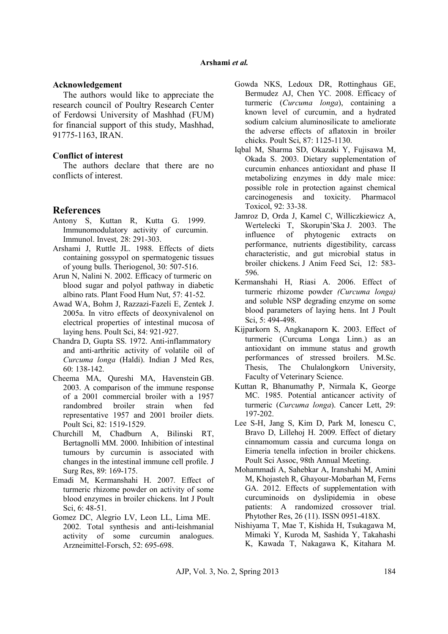#### **Acknowledgement**

The authors would like to appreciate the research council of Poultry Research Center of Ferdowsi University of Mashhad (FUM) for financial support of this study, Mashhad, 91775-1163, IRAN.

#### **Conflict of interest**

The authors declare that there are no conflicts of interest.

### **References**

- Antony S, Kuttan R, Kutta G. 1999. Immunomodulatory activity of curcumin. Immunol. Invest*,* 28: 291-303.
- Arshami J, Ruttle JL. 1988. Effects of diets containing gossypol on spermatogenic tissues of young bulls. Theriogenol, 30: 507-516.
- Arun N, Nalini N. 2002. Efficacy of turmeric on blood sugar and polyol pathway in diabetic albino rats. Plant Food Hum Nut, 57: 41-52.
- Awad WA, Bohm J, Razzazi-Fazeli E, Zentek J. 2005a. In vitro effects of deoxynivalenol on electrical properties of intestinal mucosa of laying hens. Poult Sci, 84: 921-927.
- Chandra D, Gupta SS. 1972. Anti-inflammatory and anti-arthritic activity of volatile oil of *Curcuma longa* (Haldi). Indian J Med Res, 60: 138-142.
- Cheema MA, Qureshi MA, Havenstein GB. 2003. A comparison of the immune response of a 2001 commercial broiler with a 1957 randombred broiler strain when fed representative 1957 and 2001 broiler diets. Poult Sci, 82: 1519-1529.
- Churchill M, Chadburn A, Bilinski RT, Bertagnolli MM. 2000. Inhibition of intestinal tumours by curcumin is associated with changes in the intestinal immune cell profile. J Surg Res, 89: 169-175.
- Emadi M, Kermanshahi H. 2007. Effect of turmeric rhizome powder on activity of some blood enzymes in broiler chickens. Int J Poult Sci, 6: 48-51.
- Gomez DC, Alegrio LV, Leon LL, Lima ME. 2002. Total synthesis and anti-leishmanial activity of some curcumin analogues. Arzneimittel-Forsch, 52: 695-698.
- Gowda NKS, Ledoux DR, Rottinghaus GE, Bermudez AJ, Chen YC. 2008. Efficacy of turmeric (*Curcuma longa*), containing a known level of curcumin, and a hydrated sodium calcium aluminosilicate to ameliorate the adverse effects of aflatoxin in broiler chicks. Poult Sci, 87: 1125-1130.
- Iqbal M, Sharma SD, Okazaki Y, Fujisawa M, Okada S. 2003. Dietary supplementation of curcumin enhances antioxidant and phase II metabolizing enzymes in ddy male mice: possible role in protection against chemical carcinogenesis and toxicity. Pharmacol Toxicol, 92: 33-38.
- Jamroz D, Orda J, Kamel C, Williczkiewicz A, Wertelecki T, Skorupin'Ska J. 2003. The influence of phytogenic extracts on performance, nutrients digestibility, carcass characteristic, and gut microbial status in broiler chickens. J Anim Feed Sci, 12: 583- 596.
- Kermanshahi H, Riasi A. 2006. Effect of turmeric rhizome powder *(Curcuma longa)*  and soluble NSP degrading enzyme on some blood parameters of laying hens. Int J Poult Sci, 5: 494-498.
- Kijparkorn S, Angkanaporn K. 2003. Effect of turmeric (Curcuma Longa Linn.) as an antioxidant on immune status and growth performances of stressed broilers. M.Sc. Thesis, The Chulalongkorn University, Faculty of Veterinary Science.
- Kuttan R, Bhanumathy P, Nirmala K, George MC. 1985. Potential anticancer activity of turmeric (*Curcuma longa*). Cancer Lett, 29: 197-202.
- Lee S-H, Jang S, Kim D, Park M, Ionescu C, Bravo D, Lillehoj H. 2009. Effect of dietary cinnamomum cassia and curcuma longa on Eimeria tenella infection in broiler chickens. Poult Sci Assoc, 98th Annual Meeting.
- Mohammadi A, Sahebkar A, Iranshahi M, Amini M, Khojasteh R, Ghayour-Mobarhan M, Ferns GA. 2012. Effects of supplementation with curcuminoids on dyslipidemia in obese patients: A randomized crossover trial. Phytother Res, 26 (11). ISSN 0951-418X.
- Nishiyama T, Mae T, Kishida H, Tsukagawa M, Mimaki Y, Kuroda M, Sashida Y, Takahashi K, Kawada T, Nakagawa K, Kitahara M.

AJP, Vol. 3, No. 2, Spring 2013 184